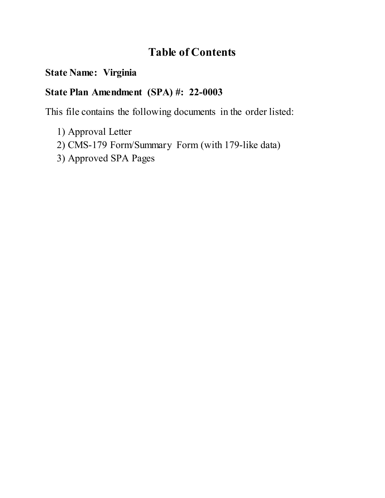# **Table of Contents**

### **State Name: Virginia**

## **State Plan Amendment (SPA) #: 22-0003**

This file contains the following documents in the order listed:

- 1) Approval Letter
- 2) CMS-179 Form/Summary Form (with 179-like data)
- 3) Approved SPA Pages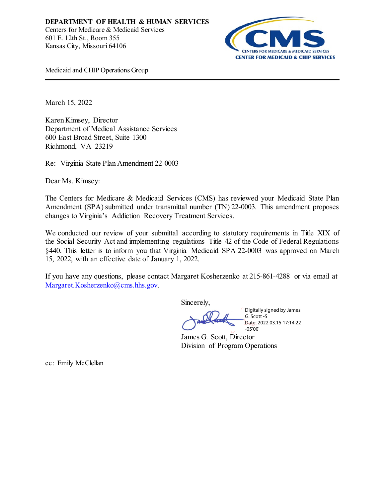

Medicaid and CHIP Operations Group

March 15, 2022

Karen Kimsey, Director Department of Medical Assistance Services 600 East Broad Street, Suite 1300 Richmond, VA 23219

Re: Virginia State Plan Amendment 22-0003

Dear Ms. Kimsey:

The Centers for Medicare & Medicaid Services (CMS) has reviewed your Medicaid State Plan Amendment (SPA) submitted under transmittal number (TN) 22-0003. This amendment proposes changes to Virginia's Addiction Recovery Treatment Services.

We conducted our review of your submittal according to statutory requirements in Title XIX of the Social Security Act and implementing regulations Title 42 of the Code of Federal Regulations §440. This letter is to inform you that Virginia Medicaid SPA 22-0003 was approved on March 15, 2022, with an effective date of January 1, 2022.

If you have any questions, please contact Margaret Kosherzenko at 215-861-4288 or via email at [Margaret.Kosherzenko@cms.hhs.gov.](mailto:Margaret.Kosherzenko@cms.hhs.gov) 

Sincerely,

Digitally signed by James G. Scott -S Date: 2022.03.15 17:14:22 -05'00'

James G. Scott, Director Division of Program Operations

cc: Emily McClellan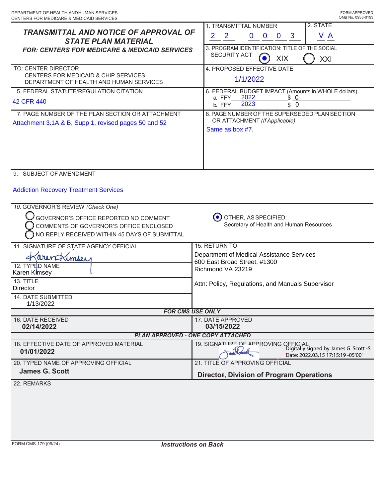| <b>TRANSMITTAL AND NOTICE OF APPROVAL OF</b>                                      | 2. STATE<br>1. TRANSMITTAL NUMBER                                                           |  |
|-----------------------------------------------------------------------------------|---------------------------------------------------------------------------------------------|--|
| <b>STATE PLAN MATERIAL</b>                                                        | V A<br>$\mathbf{2}$<br>$\mathbf{2}$<br>$-0$<br>$\mathbf{0}$<br>$\mathbf{3}$<br>$\mathbf{0}$ |  |
| <b>FOR: CENTERS FOR MEDICARE &amp; MEDICAID SERVICES</b>                          | 3. PROGRAM IDENTIFICATION: TITLE OF THE SOCIAL                                              |  |
|                                                                                   | <b>SECURITY ACT</b>                                                                         |  |
|                                                                                   | XIX<br>XXI                                                                                  |  |
| TO: CENTER DIRECTOR<br>CENTERS FOR MEDICAID & CHIP SERVICES                       | 4. PROPOSED EFFECTIVE DATE                                                                  |  |
| DEPARTMENT OF HEALTH AND HUMAN SERVICES                                           | 1/1/2022                                                                                    |  |
| 5. FEDERAL STATUTE/REGULATION CITATION                                            | 6. FEDERAL BUDGET IMPACT (Amounts in WHOLE dollars)                                         |  |
|                                                                                   | 2022<br>a. FFY<br><u>\$ 0</u>                                                               |  |
| 42 CFR 440                                                                        | $\overline{\text{S}}$ 0<br>2023<br>b. FFY                                                   |  |
| 7. PAGE NUMBER OF THE PLAN SECTION OR ATTACHMENT                                  | 8. PAGE NUMBER OF THE SUPERSEDED PLAN SECTION                                               |  |
| Attachment 3.1A & B, Supp 1, revised pages 50 and 52                              | OR ATTACHMENT (If Applicable)                                                               |  |
|                                                                                   | Same as box #7.                                                                             |  |
|                                                                                   |                                                                                             |  |
|                                                                                   |                                                                                             |  |
|                                                                                   |                                                                                             |  |
|                                                                                   |                                                                                             |  |
| 9. SUBJECT OF AMENDMENT                                                           |                                                                                             |  |
|                                                                                   |                                                                                             |  |
| <b>Addiction Recovery Treatment Services</b>                                      |                                                                                             |  |
|                                                                                   |                                                                                             |  |
| 10. GOVERNOR'S REVIEW (Check One)                                                 |                                                                                             |  |
| GOVERNOR'S OFFICE REPORTED NO COMMENT                                             | OTHER, AS SPECIFIED:                                                                        |  |
| Secretary of Health and Human Resources<br>COMMENTS OF GOVERNOR'S OFFICE ENCLOSED |                                                                                             |  |
| NO REPLY RECEIVED WITHIN 45 DAYS OF SUBMITTAL                                     |                                                                                             |  |
|                                                                                   |                                                                                             |  |
| 11. SIGNATURE OF STATE AGENCY OFFICIAL                                            | 15. RETURN TO                                                                               |  |
| arentimou                                                                         | Department of Medical Assistance Services<br>600 East Broad Street, #1300                   |  |
| 12. TYPED NAME                                                                    | Richmond VA 23219                                                                           |  |
| Karen Kimsey                                                                      |                                                                                             |  |
| 13. TITLE                                                                         | Attn: Policy, Regulations, and Manuals Supervisor                                           |  |
| Director                                                                          |                                                                                             |  |
| <b>14. DATE SUBMITTED</b><br>1/13/2022                                            |                                                                                             |  |
| <b>FOR CMS USE ONLY</b>                                                           |                                                                                             |  |
| 16. DATE RECEIVED                                                                 | 17. DATE APPROVED                                                                           |  |
| 02/14/2022                                                                        | 03/15/2022                                                                                  |  |
| <b>PLAN APPROVED - ONE COPY ATTACHED</b>                                          |                                                                                             |  |
| 18. EFFECTIVE DATE OF APPROVED MATERIAL                                           | 19. SIGNATURE OF APPROVING OFFICIAL                                                         |  |
| 01/01/2022                                                                        | Digitally signed by James G. Scott -S                                                       |  |
|                                                                                   | Date: 2022.03.15 17:15:19 -05'00'                                                           |  |
| 20. TYPED NAME OF APPROVING OFFICIAL                                              | 21. TITLE OF APPROVING OFFICIAL                                                             |  |
| <b>James G. Scott</b>                                                             | <b>Director, Division of Program Operations</b>                                             |  |
| 22. REMARKS                                                                       |                                                                                             |  |
|                                                                                   |                                                                                             |  |
|                                                                                   |                                                                                             |  |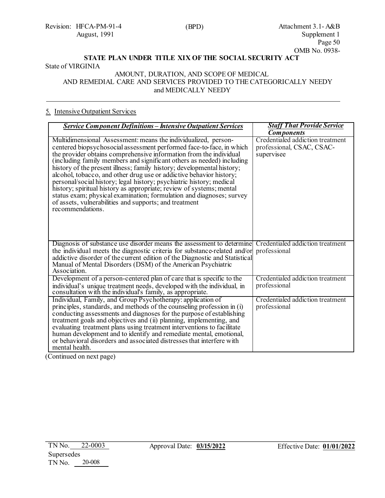Revision: HFCA-PM-91-4 August, 1991

#### **STATE PLAN UNDER TITLE XIX OF THE SOCIAL SECURITY ACT** State of VIRGINIA

#### AMOUNT, DURATION, AND SCOPE OF MEDICAL AND REMEDIAL CARE AND SERVICES PROVIDED TO THE CATEGORICALLY NEEDY and MEDICALLY NEEDY

#### 5. Intensive Outpatient Services

| <b>Service Component Definitions – Intensive Outpatient Services</b>                                                                                                                                                                                                                                                                                                                                                                                                                                                                                                                                                                                                                                                                         | <b>Staff That Provide Service</b>                                           |
|----------------------------------------------------------------------------------------------------------------------------------------------------------------------------------------------------------------------------------------------------------------------------------------------------------------------------------------------------------------------------------------------------------------------------------------------------------------------------------------------------------------------------------------------------------------------------------------------------------------------------------------------------------------------------------------------------------------------------------------------|-----------------------------------------------------------------------------|
|                                                                                                                                                                                                                                                                                                                                                                                                                                                                                                                                                                                                                                                                                                                                              | <b>Components</b>                                                           |
| Multidimensional Assessment: means the individualized, person-<br>centered biopsychosocial assessment performed face-to-face, in which<br>the provider obtains comprehensive information from the individual<br>(including family members and significant others as needed) including<br>history of the present illness; family history; developmental history;<br>alcohol, tobacco, and other drug use or addictive behavior history;<br>personal/social history; legal history; psychiatric history; medical<br>history; spiritual history as appropriate; review of systems; mental<br>status exam; physical examination; formulation and diagnoses; survey<br>of assets, vulnerabilities and supports; and treatment<br>recommendations. | Credentialed addiction treatment<br>professional, CSAC, CSAC-<br>supervisee |
| Diagnosis of substance use disorder means the assessment to determine<br>the individual meets the diagnostic criteria for substance-related and/or<br>addictive disorder of the current edition of the Diagnostic and Statistical<br>Manual of Mental Disorders (DSM) of the American Psychiatric<br>Association.                                                                                                                                                                                                                                                                                                                                                                                                                            | Credentialed addiction treatment<br>professional                            |
| Development of a person-centered plan of care that is specific to the<br>individual's unique treatment needs, developed with the individual, in<br>consultation with the individual's family, as appropriate.                                                                                                                                                                                                                                                                                                                                                                                                                                                                                                                                | Credentialed addiction treatment<br>professional                            |
| Individual, Family, and Group Psychotherapy: application of<br>principles, standards, and methods of the counseling profession in (i)<br>conducting assessments and diagnoses for the purpose of establishing<br>treatment goals and objectives and (ii) planning, implementing, and<br>evaluating treatment plans using treatment interventions to facilitate<br>human development and to identify and remediate mental, emotional,<br>or behavioral disorders and associated distresses that interfere with<br>mental health.                                                                                                                                                                                                              | Credentialed addiction treatment<br>professional                            |

(Continued on next page)